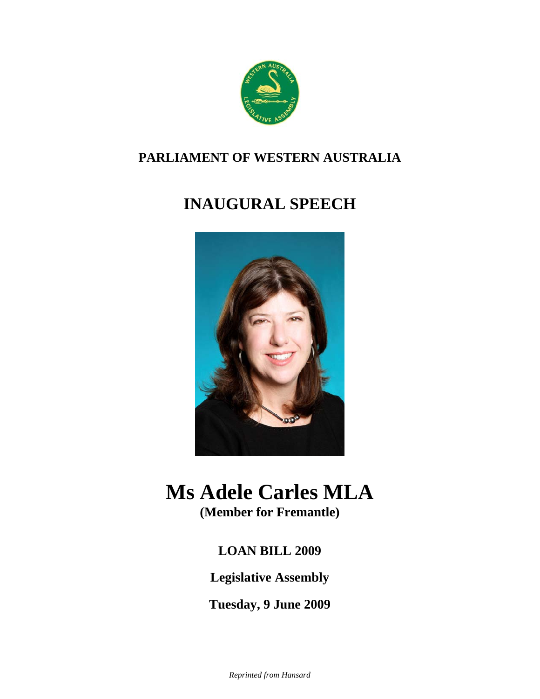

### **PARLIAMENT OF WESTERN AUSTRALIA**

## **INAUGURAL SPEECH**



# **Ms Adele Carles MLA**

**(Member for Fremantle)**

### **LOAN BILL 2009**

**Legislative Assembly** 

**Tuesday, 9 June 2009**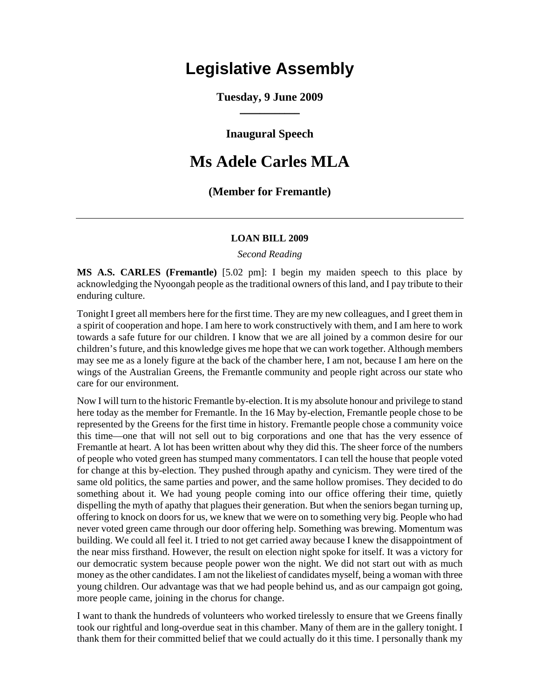## **Legislative Assembly**

**Tuesday, 9 June 2009**   $\overline{\phantom{a}}$ 

**Inaugural Speech** 

#### **Ms Adele Carles MLA**

#### **(Member for Fremantle)**

#### **LOAN BILL 2009**

*Second Reading* 

**MS A.S. CARLES (Fremantle)** [5.02 pm]: I begin my maiden speech to this place by acknowledging the Nyoongah people as the traditional owners of this land, and I pay tribute to their enduring culture.

Tonight I greet all members here for the first time. They are my new colleagues, and I greet them in a spirit of cooperation and hope. I am here to work constructively with them, and I am here to work towards a safe future for our children. I know that we are all joined by a common desire for our children's future, and this knowledge gives me hope that we can work together. Although members may see me as a lonely figure at the back of the chamber here, I am not, because I am here on the wings of the Australian Greens, the Fremantle community and people right across our state who care for our environment.

Now I will turn to the historic Fremantle by-election. It is my absolute honour and privilege to stand here today as the member for Fremantle. In the 16 May by-election, Fremantle people chose to be represented by the Greens for the first time in history. Fremantle people chose a community voice this time—one that will not sell out to big corporations and one that has the very essence of Fremantle at heart. A lot has been written about why they did this. The sheer force of the numbers of people who voted green has stumped many commentators. I can tell the house that people voted for change at this by-election. They pushed through apathy and cynicism. They were tired of the same old politics, the same parties and power, and the same hollow promises. They decided to do something about it. We had young people coming into our office offering their time, quietly dispelling the myth of apathy that plagues their generation. But when the seniors began turning up, offering to knock on doors for us, we knew that we were on to something very big. People who had never voted green came through our door offering help. Something was brewing. Momentum was building. We could all feel it. I tried to not get carried away because I knew the disappointment of the near miss firsthand. However, the result on election night spoke for itself. It was a victory for our democratic system because people power won the night. We did not start out with as much money as the other candidates. I am not the likeliest of candidates myself, being a woman with three young children. Our advantage was that we had people behind us, and as our campaign got going, more people came, joining in the chorus for change.

I want to thank the hundreds of volunteers who worked tirelessly to ensure that we Greens finally took our rightful and long-overdue seat in this chamber. Many of them are in the gallery tonight. I thank them for their committed belief that we could actually do it this time. I personally thank my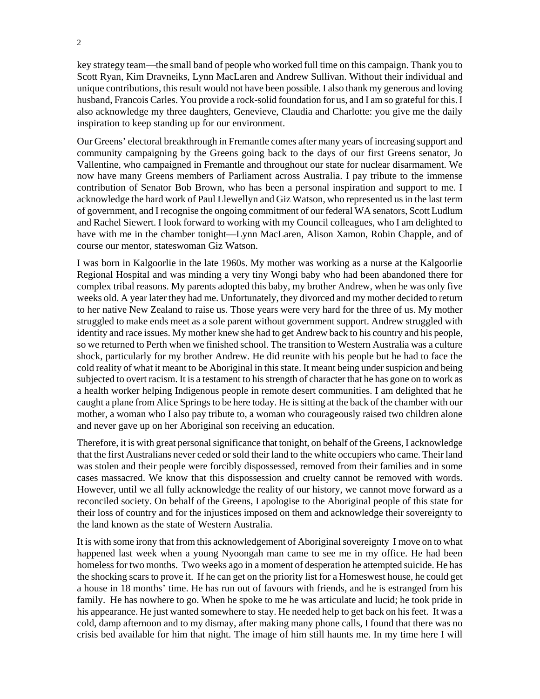key strategy team—the small band of people who worked full time on this campaign. Thank you to Scott Ryan, Kim Dravneiks, Lynn MacLaren and Andrew Sullivan. Without their individual and unique contributions, this result would not have been possible. I also thank my generous and loving husband, Francois Carles. You provide a rock-solid foundation for us, and I am so grateful for this. I also acknowledge my three daughters, Genevieve, Claudia and Charlotte: you give me the daily inspiration to keep standing up for our environment.

Our Greens' electoral breakthrough in Fremantle comes after many years of increasing support and community campaigning by the Greens going back to the days of our first Greens senator, Jo Vallentine, who campaigned in Fremantle and throughout our state for nuclear disarmament. We now have many Greens members of Parliament across Australia. I pay tribute to the immense contribution of Senator Bob Brown, who has been a personal inspiration and support to me. I acknowledge the hard work of Paul Llewellyn and Giz Watson, who represented us in the last term of government, and I recognise the ongoing commitment of our federal WA senators, Scott Ludlum and Rachel Siewert. I look forward to working with my Council colleagues, who I am delighted to have with me in the chamber tonight—Lynn MacLaren, Alison Xamon, Robin Chapple, and of course our mentor, stateswoman Giz Watson.

I was born in Kalgoorlie in the late 1960s. My mother was working as a nurse at the Kalgoorlie Regional Hospital and was minding a very tiny Wongi baby who had been abandoned there for complex tribal reasons. My parents adopted this baby, my brother Andrew, when he was only five weeks old. A year later they had me. Unfortunately, they divorced and my mother decided to return to her native New Zealand to raise us. Those years were very hard for the three of us. My mother struggled to make ends meet as a sole parent without government support. Andrew struggled with identity and race issues. My mother knew she had to get Andrew back to his country and his people, so we returned to Perth when we finished school. The transition to Western Australia was a culture shock, particularly for my brother Andrew. He did reunite with his people but he had to face the cold reality of what it meant to be Aboriginal in this state. It meant being under suspicion and being subjected to overt racism. It is a testament to his strength of character that he has gone on to work as a health worker helping Indigenous people in remote desert communities. I am delighted that he caught a plane from Alice Springs to be here today. He is sitting at the back of the chamber with our mother, a woman who I also pay tribute to, a woman who courageously raised two children alone and never gave up on her Aboriginal son receiving an education.

Therefore, it is with great personal significance that tonight, on behalf of the Greens, I acknowledge that the first Australians never ceded or sold their land to the white occupiers who came. Their land was stolen and their people were forcibly dispossessed, removed from their families and in some cases massacred. We know that this dispossession and cruelty cannot be removed with words. However, until we all fully acknowledge the reality of our history, we cannot move forward as a reconciled society. On behalf of the Greens, I apologise to the Aboriginal people of this state for their loss of country and for the injustices imposed on them and acknowledge their sovereignty to the land known as the state of Western Australia.

It is with some irony that from this acknowledgement of Aboriginal sovereignty I move on to what happened last week when a young Nyoongah man came to see me in my office. He had been homeless for two months. Two weeks ago in a moment of desperation he attempted suicide. He has the shocking scars to prove it. If he can get on the priority list for a Homeswest house, he could get a house in 18 months' time. He has run out of favours with friends, and he is estranged from his family. He has nowhere to go. When he spoke to me he was articulate and lucid; he took pride in his appearance. He just wanted somewhere to stay. He needed help to get back on his feet. It was a cold, damp afternoon and to my dismay, after making many phone calls, I found that there was no crisis bed available for him that night. The image of him still haunts me. In my time here I will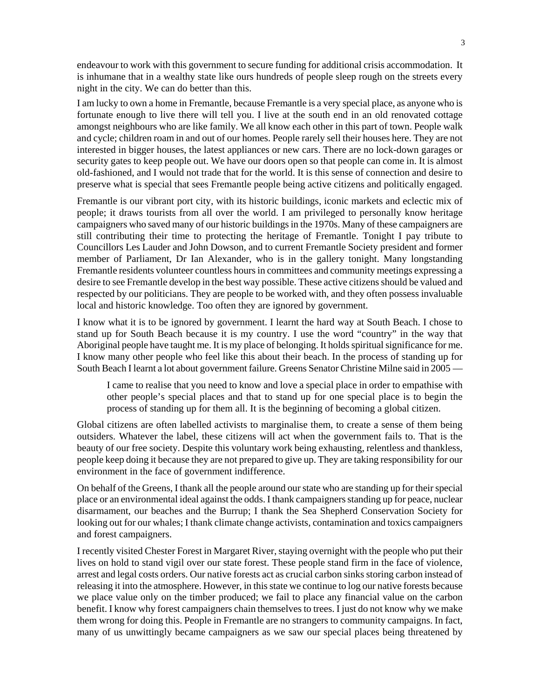endeavour to work with this government to secure funding for additional crisis accommodation. It is inhumane that in a wealthy state like ours hundreds of people sleep rough on the streets every night in the city. We can do better than this.

I am lucky to own a home in Fremantle, because Fremantle is a very special place, as anyone who is fortunate enough to live there will tell you. I live at the south end in an old renovated cottage amongst neighbours who are like family. We all know each other in this part of town. People walk and cycle; children roam in and out of our homes. People rarely sell their houses here. They are not interested in bigger houses, the latest appliances or new cars. There are no lock-down garages or security gates to keep people out. We have our doors open so that people can come in. It is almost old-fashioned, and I would not trade that for the world. It is this sense of connection and desire to preserve what is special that sees Fremantle people being active citizens and politically engaged.

Fremantle is our vibrant port city, with its historic buildings, iconic markets and eclectic mix of people; it draws tourists from all over the world. I am privileged to personally know heritage campaigners who saved many of our historic buildings in the 1970s. Many of these campaigners are still contributing their time to protecting the heritage of Fremantle. Tonight I pay tribute to Councillors Les Lauder and John Dowson, and to current Fremantle Society president and former member of Parliament, Dr Ian Alexander, who is in the gallery tonight. Many longstanding Fremantle residents volunteer countless hours in committees and community meetings expressing a desire to see Fremantle develop in the best way possible. These active citizens should be valued and respected by our politicians. They are people to be worked with, and they often possess invaluable local and historic knowledge. Too often they are ignored by government.

I know what it is to be ignored by government. I learnt the hard way at South Beach. I chose to stand up for South Beach because it is my country. I use the word "country" in the way that Aboriginal people have taught me. It is my place of belonging. It holds spiritual significance for me. I know many other people who feel like this about their beach. In the process of standing up for South Beach I learnt a lot about government failure. Greens Senator Christine Milne said in 2005 —

I came to realise that you need to know and love a special place in order to empathise with other people's special places and that to stand up for one special place is to begin the process of standing up for them all. It is the beginning of becoming a global citizen.

Global citizens are often labelled activists to marginalise them, to create a sense of them being outsiders. Whatever the label, these citizens will act when the government fails to. That is the beauty of our free society. Despite this voluntary work being exhausting, relentless and thankless, people keep doing it because they are not prepared to give up. They are taking responsibility for our environment in the face of government indifference.

On behalf of the Greens, I thank all the people around our state who are standing up for their special place or an environmental ideal against the odds. I thank campaigners standing up for peace, nuclear disarmament, our beaches and the Burrup; I thank the Sea Shepherd Conservation Society for looking out for our whales; I thank climate change activists, contamination and toxics campaigners and forest campaigners.

I recently visited Chester Forest in Margaret River, staying overnight with the people who put their lives on hold to stand vigil over our state forest. These people stand firm in the face of violence, arrest and legal costs orders. Our native forests act as crucial carbon sinks storing carbon instead of releasing it into the atmosphere. However, in this state we continue to log our native forests because we place value only on the timber produced; we fail to place any financial value on the carbon benefit. I know why forest campaigners chain themselves to trees. I just do not know why we make them wrong for doing this. People in Fremantle are no strangers to community campaigns. In fact, many of us unwittingly became campaigners as we saw our special places being threatened by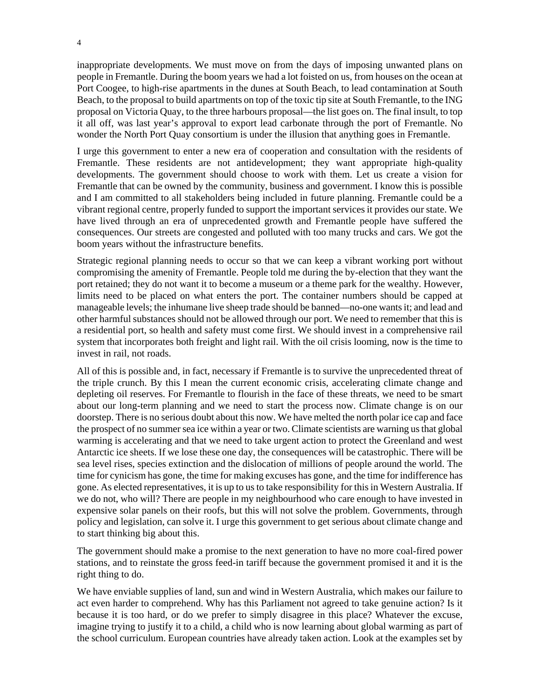inappropriate developments. We must move on from the days of imposing unwanted plans on people in Fremantle. During the boom years we had a lot foisted on us, from houses on the ocean at Port Coogee, to high-rise apartments in the dunes at South Beach, to lead contamination at South Beach, to the proposal to build apartments on top of the toxic tip site at South Fremantle, to the ING proposal on Victoria Quay, to the three harbours proposal—the list goes on. The final insult, to top it all off, was last year's approval to export lead carbonate through the port of Fremantle. No wonder the North Port Quay consortium is under the illusion that anything goes in Fremantle.

I urge this government to enter a new era of cooperation and consultation with the residents of Fremantle. These residents are not antidevelopment; they want appropriate high-quality developments. The government should choose to work with them. Let us create a vision for Fremantle that can be owned by the community, business and government. I know this is possible and I am committed to all stakeholders being included in future planning. Fremantle could be a vibrant regional centre, properly funded to support the important services it provides our state. We have lived through an era of unprecedented growth and Fremantle people have suffered the consequences. Our streets are congested and polluted with too many trucks and cars. We got the boom years without the infrastructure benefits.

Strategic regional planning needs to occur so that we can keep a vibrant working port without compromising the amenity of Fremantle. People told me during the by-election that they want the port retained; they do not want it to become a museum or a theme park for the wealthy. However, limits need to be placed on what enters the port. The container numbers should be capped at manageable levels; the inhumane live sheep trade should be banned—no-one wants it; and lead and other harmful substances should not be allowed through our port. We need to remember that this is a residential port, so health and safety must come first. We should invest in a comprehensive rail system that incorporates both freight and light rail. With the oil crisis looming, now is the time to invest in rail, not roads.

All of this is possible and, in fact, necessary if Fremantle is to survive the unprecedented threat of the triple crunch. By this I mean the current economic crisis, accelerating climate change and depleting oil reserves. For Fremantle to flourish in the face of these threats, we need to be smart about our long-term planning and we need to start the process now. Climate change is on our doorstep. There is no serious doubt about this now. We have melted the north polar ice cap and face the prospect of no summer sea ice within a year or two. Climate scientists are warning us that global warming is accelerating and that we need to take urgent action to protect the Greenland and west Antarctic ice sheets. If we lose these one day, the consequences will be catastrophic. There will be sea level rises, species extinction and the dislocation of millions of people around the world. The time for cynicism has gone, the time for making excuses has gone, and the time for indifference has gone. As elected representatives, it is up to us to take responsibility for this in Western Australia. If we do not, who will? There are people in my neighbourhood who care enough to have invested in expensive solar panels on their roofs, but this will not solve the problem. Governments, through policy and legislation, can solve it. I urge this government to get serious about climate change and to start thinking big about this.

The government should make a promise to the next generation to have no more coal-fired power stations, and to reinstate the gross feed-in tariff because the government promised it and it is the right thing to do.

We have enviable supplies of land, sun and wind in Western Australia, which makes our failure to act even harder to comprehend. Why has this Parliament not agreed to take genuine action? Is it because it is too hard, or do we prefer to simply disagree in this place? Whatever the excuse, imagine trying to justify it to a child, a child who is now learning about global warming as part of the school curriculum. European countries have already taken action. Look at the examples set by